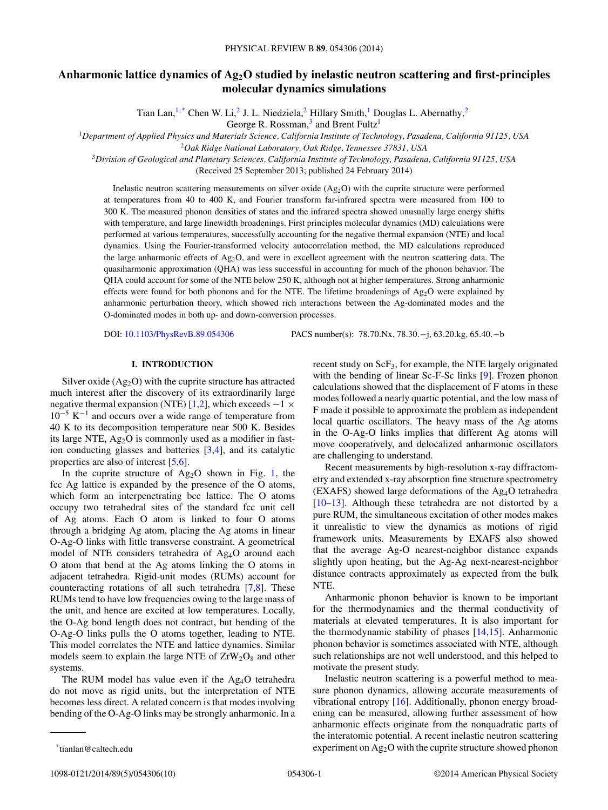# **Anharmonic lattice dynamics of Ag2O studied by inelastic neutron scattering and first-principles molecular dynamics simulations**

Tian Lan,<sup>1,\*</sup> Chen W. Li,<sup>2</sup> J. L. Niedziela,<sup>2</sup> Hillary Smith,<sup>1</sup> Douglas L. Abernathy,<sup>2</sup>

George R. Rossman,<sup>3</sup> and Brent Fultz<sup>1</sup>

<sup>1</sup>*Department of Applied Physics and Materials Science, California Institute of Technology, Pasadena, California 91125, USA*

<sup>2</sup>*Oak Ridge National Laboratory, Oak Ridge, Tennessee 37831, USA*

<sup>3</sup>*Division of Geological and Planetary Sciences, California Institute of Technology, Pasadena, California 91125, USA*

(Received 25 September 2013; published 24 February 2014)

Inelastic neutron scattering measurements on silver oxide (Ag2O) with the cuprite structure were performed at temperatures from 40 to 400 K, and Fourier transform far-infrared spectra were measured from 100 to 300 K. The measured phonon densities of states and the infrared spectra showed unusually large energy shifts with temperature, and large linewidth broadenings. First principles molecular dynamics (MD) calculations were performed at various temperatures, successfully accounting for the negative thermal expansion (NTE) and local dynamics. Using the Fourier-transformed velocity autocorrelation method, the MD calculations reproduced the large anharmonic effects of  $Ag_2O$ , and were in excellent agreement with the neutron scattering data. The quasiharmonic approximation (QHA) was less successful in accounting for much of the phonon behavior. The QHA could account for some of the NTE below 250 K, although not at higher temperatures. Strong anharmonic effects were found for both phonons and for the NTE. The lifetime broadenings of  $Ag_2O$  were explained by anharmonic perturbation theory, which showed rich interactions between the Ag-dominated modes and the O-dominated modes in both up- and down-conversion processes.

DOI: [10.1103/PhysRevB.89.054306](http://dx.doi.org/10.1103/PhysRevB.89.054306) PACS number(s): 78*.*70*.*Nx*,* 78*.*30*.*−j*,* 63*.*20*.*kg*,* 65*.*40*.*−b

## **I. INTRODUCTION**

Silver oxide  $(Ag_2O)$  with the cuprite structure has attracted much interest after the discovery of its extraordinarily large negative thermal expansion (NTE) [\[1,2\]](#page-8-0), which exceeds  $-1 \times$  $10^{-5}$  K<sup>-1</sup> and occurs over a wide range of temperature from 40 K to its decomposition temperature near 500 K. Besides its large NTE,  $Ag<sub>2</sub>O$  is commonly used as a modifier in fastion conducting glasses and batteries [\[3,4\]](#page-8-0), and its catalytic properties are also of interest [\[5,6\]](#page-8-0).

In the cuprite structure of  $Ag_2O$  shown in Fig. [1,](#page-1-0) the fcc Ag lattice is expanded by the presence of the O atoms, which form an interpenetrating bcc lattice. The O atoms occupy two tetrahedral sites of the standard fcc unit cell of Ag atoms. Each O atom is linked to four O atoms through a bridging Ag atom, placing the Ag atoms in linear O-Ag-O links with little transverse constraint. A geometrical model of NTE considers tetrahedra of Ag4O around each O atom that bend at the Ag atoms linking the O atoms in adjacent tetrahedra. Rigid-unit modes (RUMs) account for counteracting rotations of all such tetrahedra [\[7,8\]](#page-8-0). These RUMs tend to have low frequencies owing to the large mass of the unit, and hence are excited at low temperatures. Locally, the O-Ag bond length does not contract, but bending of the O-Ag-O links pulls the O atoms together, leading to NTE. This model correlates the NTE and lattice dynamics. Similar models seem to explain the large NTE of  $ZrW_2O_8$  and other systems.

The RUM model has value even if the Ag<sub>4</sub>O tetrahedra do not move as rigid units, but the interpretation of NTE becomes less direct. A related concern is that modes involving bending of the O-Ag-O links may be strongly anharmonic. In a recent study on ScF3, for example, the NTE largely originated with the bending of linear Sc-F-Sc links [\[9\]](#page-8-0). Frozen phonon calculations showed that the displacement of F atoms in these modes followed a nearly quartic potential, and the low mass of F made it possible to approximate the problem as independent local quartic oscillators. The heavy mass of the Ag atoms in the O-Ag-O links implies that different Ag atoms will move cooperatively, and delocalized anharmonic oscillators are challenging to understand.

Recent measurements by high-resolution x-ray diffractometry and extended x-ray absorption fine structure spectrometry (EXAFS) showed large deformations of the Ag4O tetrahedra [\[10–13\]](#page-8-0). Although these tetrahedra are not distorted by a pure RUM, the simultaneous excitation of other modes makes it unrealistic to view the dynamics as motions of rigid framework units. Measurements by EXAFS also showed that the average Ag-O nearest-neighbor distance expands slightly upon heating, but the Ag-Ag next-nearest-neighbor distance contracts approximately as expected from the bulk NTE.

Anharmonic phonon behavior is known to be important for the thermodynamics and the thermal conductivity of materials at elevated temperatures. It is also important for the thermodynamic stability of phases [\[14,15\]](#page-8-0). Anharmonic phonon behavior is sometimes associated with NTE, although such relationships are not well understood, and this helped to motivate the present study.

Inelastic neutron scattering is a powerful method to measure phonon dynamics, allowing accurate measurements of vibrational entropy [\[16\]](#page-8-0). Additionally, phonon energy broadening can be measured, allowing further assessment of how anharmonic effects originate from the nonquadratic parts of the interatomic potential. A recent inelastic neutron scattering experiment on Ag2O with the cuprite structure showed phonon

<sup>\*</sup>tianlan@caltech.edu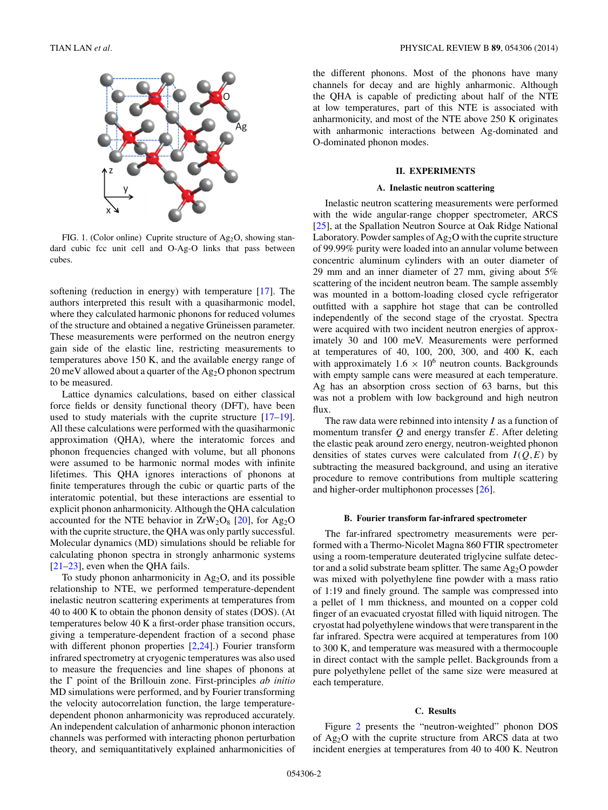<span id="page-1-0"></span>

FIG. 1. (Color online) Cuprite structure of  $Ag_2O$ , showing standard cubic fcc unit cell and O-Ag-O links that pass between cubes.

softening (reduction in energy) with temperature [\[17\]](#page-8-0). The authors interpreted this result with a quasiharmonic model, where they calculated harmonic phonons for reduced volumes of the structure and obtained a negative Grüneissen parameter. These measurements were performed on the neutron energy gain side of the elastic line, restricting measurements to temperatures above 150 K, and the available energy range of 20 meV allowed about a quarter of the Ag<sub>2</sub>O phonon spectrum to be measured.

Lattice dynamics calculations, based on either classical force fields or density functional theory (DFT), have been used to study materials with the cuprite structure [\[17–19\]](#page-8-0). All these calculations were performed with the quasiharmonic approximation (QHA), where the interatomic forces and phonon frequencies changed with volume, but all phonons were assumed to be harmonic normal modes with infinite lifetimes. This QHA ignores interactions of phonons at finite temperatures through the cubic or quartic parts of the interatomic potential, but these interactions are essential to explicit phonon anharmonicity. Although the QHA calculation accounted for the NTE behavior in  $ZrW_2O_8$  [\[20\]](#page-8-0), for Ag<sub>2</sub>O with the cuprite structure, the QHA was only partly successful. Molecular dynamics (MD) simulations should be reliable for calculating phonon spectra in strongly anharmonic systems [\[21](#page-8-0)[–23\]](#page-9-0), even when the QHA fails.

To study phonon anharmonicity in  $Ag_2O$ , and its possible relationship to NTE, we performed temperature-dependent inelastic neutron scattering experiments at temperatures from 40 to 400 K to obtain the phonon density of states (DOS). (At temperatures below 40 K a first-order phase transition occurs, giving a temperature-dependent fraction of a second phase with different phonon properties [\[2,](#page-8-0)[24\]](#page-9-0).) Fourier transform infrared spectrometry at cryogenic temperatures was also used to measure the frequencies and line shapes of phonons at the  $\Gamma$  point of the Brillouin zone. First-principles *ab initio* MD simulations were performed, and by Fourier transforming the velocity autocorrelation function, the large temperaturedependent phonon anharmonicity was reproduced accurately. An independent calculation of anharmonic phonon interaction channels was performed with interacting phonon perturbation theory, and semiquantitatively explained anharmonicities of the different phonons. Most of the phonons have many channels for decay and are highly anharmonic. Although the QHA is capable of predicting about half of the NTE at low temperatures, part of this NTE is associated with anharmonicity, and most of the NTE above 250 K originates with anharmonic interactions between Ag-dominated and O-dominated phonon modes.

## **II. EXPERIMENTS**

## **A. Inelastic neutron scattering**

Inelastic neutron scattering measurements were performed with the wide angular-range chopper spectrometer, ARCS [\[25\]](#page-9-0), at the Spallation Neutron Source at Oak Ridge National Laboratory. Powder samples of  $Ag_2O$  with the cuprite structure of 99.99% purity were loaded into an annular volume between concentric aluminum cylinders with an outer diameter of 29 mm and an inner diameter of 27 mm, giving about 5% scattering of the incident neutron beam. The sample assembly was mounted in a bottom-loading closed cycle refrigerator outfitted with a sapphire hot stage that can be controlled independently of the second stage of the cryostat. Spectra were acquired with two incident neutron energies of approximately 30 and 100 meV. Measurements were performed at temperatures of 40, 100, 200, 300, and 400 K, each with approximately  $1.6 \times 10^6$  neutron counts. Backgrounds with empty sample cans were measured at each temperature. Ag has an absorption cross section of 63 barns, but this was not a problem with low background and high neutron flux.

The raw data were rebinned into intensity *I* as a function of momentum transfer *Q* and energy transfer *E*. After deleting the elastic peak around zero energy, neutron-weighted phonon densities of states curves were calculated from  $I(Q, E)$  by subtracting the measured background, and using an iterative procedure to remove contributions from multiple scattering and higher-order multiphonon processes [\[26\]](#page-9-0).

## **B. Fourier transform far-infrared spectrometer**

The far-infrared spectrometry measurements were performed with a Thermo-Nicolet Magna 860 FTIR spectrometer using a room-temperature deuterated triglycine sulfate detector and a solid substrate beam splitter. The same Ag<sub>2</sub>O powder was mixed with polyethylene fine powder with a mass ratio of 1:19 and finely ground. The sample was compressed into a pellet of 1 mm thickness, and mounted on a copper cold finger of an evacuated cryostat filled with liquid nitrogen. The cryostat had polyethylene windows that were transparent in the far infrared. Spectra were acquired at temperatures from 100 to 300 K, and temperature was measured with a thermocouple in direct contact with the sample pellet. Backgrounds from a pure polyethylene pellet of the same size were measured at each temperature.

#### **C. Results**

Figure [2](#page-2-0) presents the "neutron-weighted" phonon DOS of Ag2O with the cuprite structure from ARCS data at two incident energies at temperatures from 40 to 400 K. Neutron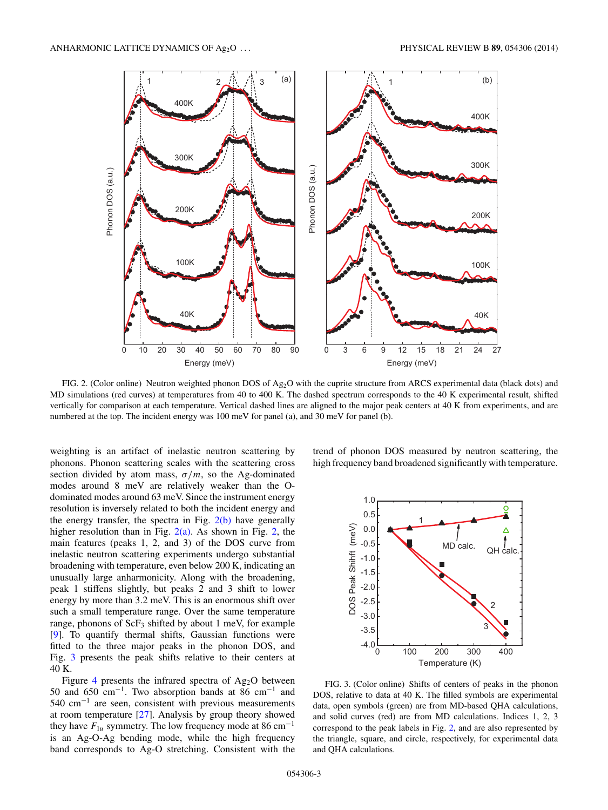<span id="page-2-0"></span>

FIG. 2. (Color online) Neutron weighted phonon DOS of Ag<sub>2</sub>O with the cuprite structure from ARCS experimental data (black dots) and MD simulations (red curves) at temperatures from 40 to 400 K. The dashed spectrum corresponds to the 40 K experimental result, shifted vertically for comparison at each temperature. Vertical dashed lines are aligned to the major peak centers at 40 K from experiments, and are numbered at the top. The incident energy was 100 meV for panel (a), and 30 meV for panel (b).

weighting is an artifact of inelastic neutron scattering by phonons. Phonon scattering scales with the scattering cross section divided by atom mass,  $\sigma/m$ , so the Ag-dominated modes around 8 meV are relatively weaker than the Odominated modes around 63 meV. Since the instrument energy resolution is inversely related to both the incident energy and the energy transfer, the spectra in Fig.  $2(b)$  have generally higher resolution than in Fig.  $2(a)$ . As shown in Fig. 2, the main features (peaks 1, 2, and 3) of the DOS curve from inelastic neutron scattering experiments undergo substantial broadening with temperature, even below 200 K, indicating an unusually large anharmonicity. Along with the broadening, peak 1 stiffens slightly, but peaks 2 and 3 shift to lower energy by more than 3.2 meV. This is an enormous shift over such a small temperature range. Over the same temperature range, phonons of  $ScF_3$  shifted by about 1 meV, for example [\[9\]](#page-8-0). To quantify thermal shifts, Gaussian functions were fitted to the three major peaks in the phonon DOS, and Fig. 3 presents the peak shifts relative to their centers at 40 K.

Figure [4](#page-3-0) presents the infrared spectra of  $Ag_2O$  between 50 and 650 cm<sup>−</sup>1. Two absorption bands at 86 cm<sup>−</sup><sup>1</sup> and 540 cm<sup>−</sup><sup>1</sup> are seen, consistent with previous measurements at room temperature  $[27]$ . Analysis by group theory showed they have  $F_{1u}$  symmetry. The low frequency mode at 86 cm<sup>-1</sup> is an Ag-O-Ag bending mode, while the high frequency band corresponds to Ag-O stretching. Consistent with the trend of phonon DOS measured by neutron scattering, the high frequency band broadened significantly with temperature.



FIG. 3. (Color online) Shifts of centers of peaks in the phonon DOS, relative to data at 40 K. The filled symbols are experimental data, open symbols (green) are from MD-based QHA calculations, and solid curves (red) are from MD calculations. Indices 1, 2, 3 correspond to the peak labels in Fig. 2, and are also represented by the triangle, square, and circle, respectively, for experimental data and QHA calculations.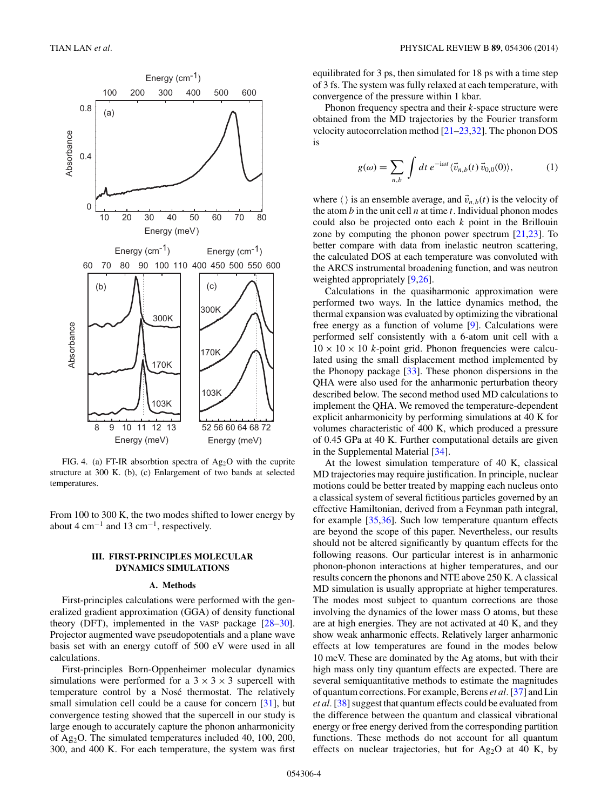<span id="page-3-0"></span>

FIG. 4. (a) FT-IR absorbtion spectra of  $Ag_2O$  with the cuprite structure at 300 K. (b), (c) Enlargement of two bands at selected temperatures.

From 100 to 300 K, the two modes shifted to lower energy by about 4 cm<sup>-1</sup> and 13 cm<sup>-1</sup>, respectively.

## **III. FIRST-PRINCIPLES MOLECULAR DYNAMICS SIMULATIONS**

#### **A. Methods**

First-principles calculations were performed with the generalized gradient approximation (GGA) of density functional theory (DFT), implemented in the VASP package [\[28–30\]](#page-9-0). Projector augmented wave pseudopotentials and a plane wave basis set with an energy cutoff of 500 eV were used in all calculations.

First-principles Born-Oppenheimer molecular dynamics simulations were performed for a  $3 \times 3 \times 3$  supercell with temperature control by a Nosé thermostat. The relatively small simulation cell could be a cause for concern [\[31\]](#page-9-0), but convergence testing showed that the supercell in our study is large enough to accurately capture the phonon anharmonicity of Ag2O. The simulated temperatures included 40, 100, 200, 300, and 400 K. For each temperature, the system was first

equilibrated for 3 ps, then simulated for 18 ps with a time step of 3 fs. The system was fully relaxed at each temperature, with convergence of the pressure within 1 kbar.

Phonon frequency spectra and their *k*-space structure were obtained from the MD trajectories by the Fourier transform velocity autocorrelation method [\[21](#page-8-0)[–23,32\]](#page-9-0). The phonon DOS is

$$
g(\omega) = \sum_{n,b} \int dt \, e^{-i\omega t} \langle \vec{v}_{n,b}(t) \vec{v}_{0,0}(0) \rangle, \tag{1}
$$

where  $\langle \rangle$  is an ensemble average, and  $\vec{v}_{n,b}(t)$  is the velocity of the atom  $b$  in the unit cell  $n$  at time  $t$ . Individual phonon modes could also be projected onto each *k* point in the Brillouin zone by computing the phonon power spectrum [\[21,](#page-8-0)[23\]](#page-9-0). To better compare with data from inelastic neutron scattering, the calculated DOS at each temperature was convoluted with the ARCS instrumental broadening function, and was neutron weighted appropriately [\[9](#page-8-0)[,26\]](#page-9-0).

Calculations in the quasiharmonic approximation were performed two ways. In the lattice dynamics method, the thermal expansion was evaluated by optimizing the vibrational free energy as a function of volume [\[9\]](#page-8-0). Calculations were performed self consistently with a 6-atom unit cell with a  $10 \times 10 \times 10$  *k*-point grid. Phonon frequencies were calculated using the small displacement method implemented by the Phonopy package [\[33\]](#page-9-0). These phonon dispersions in the QHA were also used for the anharmonic perturbation theory described below. The second method used MD calculations to implement the QHA. We removed the temperature-dependent explicit anharmonicity by performing simulations at 40 K for volumes characteristic of 400 K, which produced a pressure of 0.45 GPa at 40 K. Further computational details are given in the Supplemental Material [\[34\]](#page-9-0).

At the lowest simulation temperature of 40 K, classical MD trajectories may require justification. In principle, nuclear motions could be better treated by mapping each nucleus onto a classical system of several fictitious particles governed by an effective Hamiltonian, derived from a Feynman path integral, for example [\[35,36\]](#page-9-0). Such low temperature quantum effects are beyond the scope of this paper. Nevertheless, our results should not be altered significantly by quantum effects for the following reasons. Our particular interest is in anharmonic phonon-phonon interactions at higher temperatures, and our results concern the phonons and NTE above 250 K. A classical MD simulation is usually appropriate at higher temperatures. The modes most subject to quantum corrections are those involving the dynamics of the lower mass O atoms, but these are at high energies. They are not activated at 40 K, and they show weak anharmonic effects. Relatively larger anharmonic effects at low temperatures are found in the modes below 10 meV. These are dominated by the Ag atoms, but with their high mass only tiny quantum effects are expected. There are several semiquantitative methods to estimate the magnitudes of quantum corrections. For example, Berens *et al.*[\[37\]](#page-9-0) and Lin *et al.*[\[38\]](#page-9-0) suggest that quantum effects could be evaluated from the difference between the quantum and classical vibrational energy or free energy derived from the corresponding partition functions. These methods do not account for all quantum effects on nuclear trajectories, but for  $Ag_2O$  at 40 K, by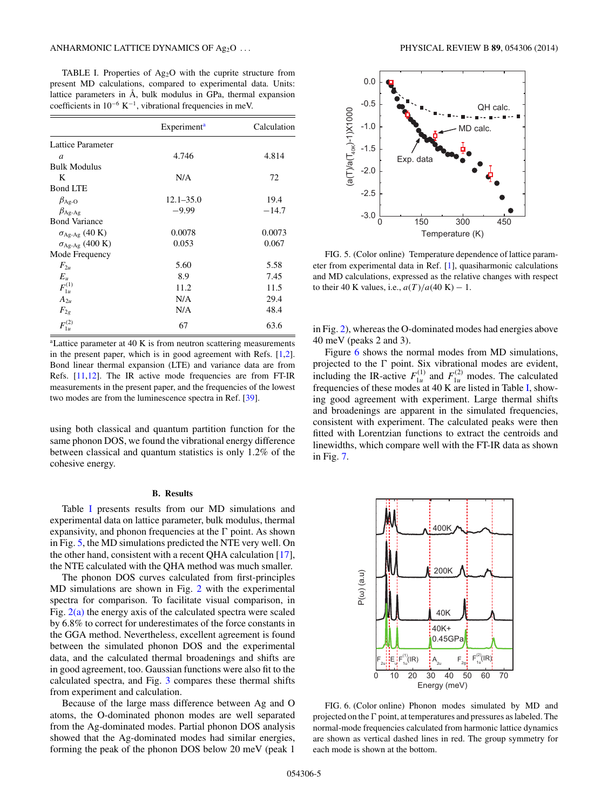<span id="page-4-0"></span>TABLE I. Properties of  $Ag<sub>2</sub>O$  with the cuprite structure from present MD calculations, compared to experimental data. Units: lattice parameters in  $\AA$ , bulk modulus in GPa, thermal expansion coefficients in  $10^{-6}$  K<sup>-1</sup>, vibrational frequencies in meV.

|                                 | Experiment <sup>a</sup> | Calculation |
|---------------------------------|-------------------------|-------------|
| Lattice Parameter               |                         |             |
| $\mathfrak a$                   | 4.746                   | 4.814       |
| <b>Bulk Modulus</b>             |                         |             |
| K                               | N/A                     | 72          |
| <b>Bond LTE</b>                 |                         |             |
| $\beta_{\text{Ag-O}}$           | $12.1 - 35.0$           | 19.4        |
| $\beta_{\text{Ag-Ag}}$          | $-9.99$                 | $-14.7$     |
| <b>Bond Variance</b>            |                         |             |
| $\sigma_{Ag\text{-Ag}}$ (40 K)  | 0.0078                  | 0.0073      |
| $\sigma_{\text{Ag-Ag}}$ (400 K) | 0.053                   | 0.067       |
| Mode Frequency                  |                         |             |
| $F_{2u}$                        | 5.60                    | 5.58        |
| $E_u$                           | 8.9                     | 7.45        |
| $F_{1u}^{(1)}$                  | 11.2                    | 11.5        |
| $A_{2\mu}$                      | N/A                     | 29.4        |
| $F_{2g}$                        | N/A                     | 48.4        |
| $F_{1u}^{(2)}$                  | 67                      | 63.6        |

<sup>a</sup>Lattice parameter at 40 K is from neutron scattering measurements in the present paper, which is in good agreement with Refs.  $[1,2]$ . Bond linear thermal expansion (LTE) and variance data are from Refs. [\[11,12\]](#page-8-0). The IR active mode frequencies are from FT-IR measurements in the present paper, and the frequencies of the lowest two modes are from the luminescence spectra in Ref. [\[39\]](#page-9-0).

using both classical and quantum partition function for the same phonon DOS, we found the vibrational energy difference between classical and quantum statistics is only 1.2% of the cohesive energy.

#### **B. Results**

Table I presents results from our MD simulations and experimental data on lattice parameter, bulk modulus, thermal expansivity, and phonon frequencies at the  $\Gamma$  point. As shown in Fig. 5, the MD simulations predicted the NTE very well. On the other hand, consistent with a recent QHA calculation [\[17\]](#page-8-0), the NTE calculated with the QHA method was much smaller.

The phonon DOS curves calculated from first-principles MD simulations are shown in Fig. [2](#page-2-0) with the experimental spectra for comparison. To facilitate visual comparison, in Fig. [2\(a\)](#page-2-0) the energy axis of the calculated spectra were scaled by 6.8% to correct for underestimates of the force constants in the GGA method. Nevertheless, excellent agreement is found between the simulated phonon DOS and the experimental data, and the calculated thermal broadenings and shifts are in good agreement, too. Gaussian functions were also fit to the calculated spectra, and Fig. [3](#page-2-0) compares these thermal shifts from experiment and calculation.

Because of the large mass difference between Ag and O atoms, the O-dominated phonon modes are well separated from the Ag-dominated modes. Partial phonon DOS analysis showed that the Ag-dominated modes had similar energies, forming the peak of the phonon DOS below 20 meV (peak 1



FIG. 5. (Color online) Temperature dependence of lattice parameter from experimental data in Ref. [\[1\]](#page-8-0), quasiharmonic calculations and MD calculations, expressed as the relative changes with respect to their 40 K values, i.e.,  $a(T)/a(40 \text{ K}) - 1$ .

in Fig. [2\)](#page-2-0), whereas the O-dominated modes had energies above 40 meV (peaks 2 and 3).

Figure 6 shows the normal modes from MD simulations, projected to the  $\Gamma$  point. Six vibrational modes are evident, including the IR-active  $F_{1u}^{(1)}$  and  $F_{1u}^{(2)}$  modes. The calculated frequencies of these modes at 40 K are listed in Table I, showing good agreement with experiment. Large thermal shifts and broadenings are apparent in the simulated frequencies, consistent with experiment. The calculated peaks were then fitted with Lorentzian functions to extract the centroids and linewidths, which compare well with the FT-IR data as shown in Fig. [7.](#page-5-0)



FIG. 6. (Color online) Phonon modes simulated by MD and projected on the  $\Gamma$  point, at temperatures and pressures as labeled. The normal-mode frequencies calculated from harmonic lattice dynamics are shown as vertical dashed lines in red. The group symmetry for each mode is shown at the bottom.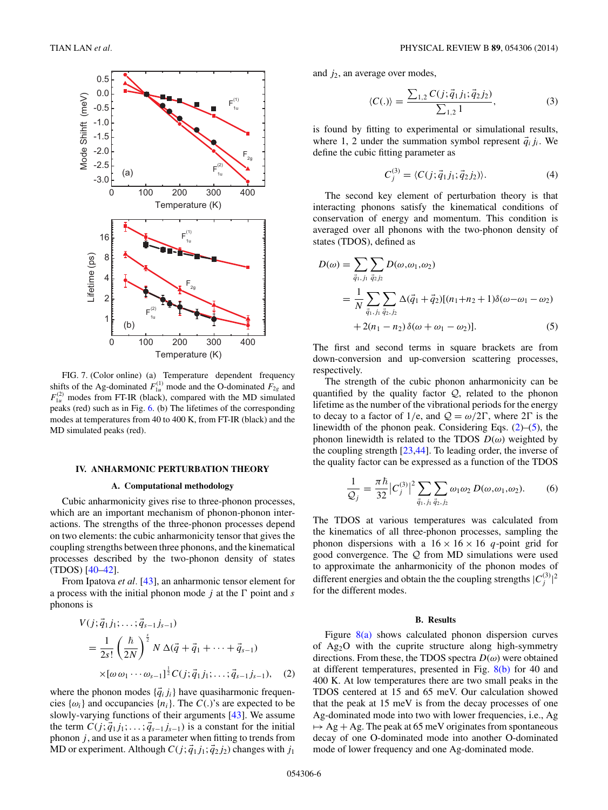<span id="page-5-0"></span>

FIG. 7. (Color online) (a) Temperature dependent frequency shifts of the Ag-dominated  $F_{1u}^{(1)}$  mode and the O-dominated  $F_{2g}$  and  $F_{1u}^{(2)}$  modes from FT-IR (black), compared with the MD simulated peaks (red) such as in Fig. [6.](#page-4-0) (b) The lifetimes of the corresponding modes at temperatures from 40 to 400 K, from FT-IR (black) and the MD simulated peaks (red).

#### **IV. ANHARMONIC PERTURBATION THEORY**

## **A. Computational methodology**

Cubic anharmonicity gives rise to three-phonon processes, which are an important mechanism of phonon-phonon interactions. The strengths of the three-phonon processes depend on two elements: the cubic anharmonicity tensor that gives the coupling strengths between three phonons, and the kinematical processes described by the two-phonon density of states (TDOS) [\[40–42\]](#page-9-0).

From Ipatova *et al.* [\[43\]](#page-9-0), an anharmonic tensor element for a process with the initial phonon mode  $j$  at the  $\Gamma$  point and  $s$ phonons is

$$
V(j; \vec{q}_1 j_1; \dots; \vec{q}_{s-1} j_{s-1})
$$
  
=  $\frac{1}{2s!} \left( \frac{\hbar}{2N} \right)^{\frac{s}{2}} N \Delta(\vec{q} + \vec{q}_1 + \dots + \vec{q}_{s-1})$   
 $\times [\omega \omega_1 \cdots \omega_{s-1}]^{\frac{1}{2}} C(j; \vec{q}_1 j_1; \dots; \vec{q}_{s-1} j_{s-1}), \quad (2)$ 

where the phonon modes  $\{\vec{q}_i\}_{i}$  have quasiharmonic frequencies  $\{\omega_i\}$  and occupancies  $\{n_i\}$ . The *C*(*.*)'s are expected to be slowly-varying functions of their arguments [\[43\]](#page-9-0). We assume the term  $C(j; \vec{q}_1 j_1; \ldots; \vec{q}_{s-1} j_{s-1})$  is a constant for the initial phonon *j* , and use it as a parameter when fitting to trends from MD or experiment. Although  $C(j; \vec{q}_1 j_1; \vec{q}_2 j_2)$  changes with  $j_1$ 

and *j*2, an average over modes,

$$
\langle C(.) \rangle = \frac{\sum_{1,2} C(j; \vec{q}_1 j_1; \vec{q}_2 j_2)}{\sum_{1,2} 1},\tag{3}
$$

is found by fitting to experimental or simulational results, where 1, 2 under the summation symbol represent  $\vec{q}_i j_i$ . We define the cubic fitting parameter as

$$
C_j^{(3)} = \langle C(j; \vec{q}_1 j_1; \vec{q}_2 j_2) \rangle. \tag{4}
$$

The second key element of perturbation theory is that interacting phonons satisfy the kinematical conditions of conservation of energy and momentum. This condition is averaged over all phonons with the two-phonon density of states (TDOS), defined as

$$
D(\omega) = \sum_{\vec{q}_1, j_1} \sum_{\vec{q}_2, j_2} D(\omega, \omega_1, \omega_2)
$$
  
= 
$$
\frac{1}{N} \sum_{\vec{q}_1, j_1} \sum_{\vec{q}_2, j_2} \Delta(\vec{q}_1 + \vec{q}_2) [(n_1 + n_2 + 1)\delta(\omega - \omega_1 - \omega_2)
$$
  
+ 
$$
2(n_1 - n_2) \delta(\omega + \omega_1 - \omega_2)].
$$
 (5)

The first and second terms in square brackets are from down-conversion and up-conversion scattering processes, respectively.

The strength of the cubic phonon anharmonicity can be quantified by the quality factor  $Q$ , related to the phonon lifetime as the number of the vibrational periods for the energy to decay to a factor of 1/e, and  $Q = \omega/2\Gamma$ , where  $2\Gamma$  is the linewidth of the phonon peak. Considering Eqs.  $(2)$ – $(5)$ , the phonon linewidth is related to the TDOS  $D(\omega)$  weighted by the coupling strength [\[23,44\]](#page-9-0). To leading order, the inverse of the quality factor can be expressed as a function of the TDOS

$$
\frac{1}{Q_j} = \frac{\pi \hbar}{32} |C_j^{(3)}|^2 \sum_{\vec{q}_1, j_1} \sum_{\vec{q}_2, j_2} \omega_1 \omega_2 D(\omega, \omega_1, \omega_2).
$$
 (6)

The TDOS at various temperatures was calculated from the kinematics of all three-phonon processes, sampling the phonon dispersions with a  $16 \times 16 \times 16$  *q*-point grid for good convergence. The  $Q$  from MD simulations were used to approximate the anharmonicity of the phonon modes of different energies and obtain the the coupling strengths  $|C_j^{(3)}|^2$ for the different modes.

#### **B. Results**

Figure [8\(a\)](#page-6-0) shows calculated phonon dispersion curves of Ag2O with the cuprite structure along high-symmetry directions. From these, the TDOS spectra  $D(\omega)$  were obtained at different temperatures, presented in Fig. [8\(b\)](#page-6-0) for 40 and 400 K. At low temperatures there are two small peaks in the TDOS centered at 15 and 65 meV. Our calculation showed that the peak at 15 meV is from the decay processes of one Ag-dominated mode into two with lower frequencies, i.e., Ag  $\mapsto$  Ag + Ag. The peak at 65 meV originates from spontaneous decay of one O-dominated mode into another O-dominated mode of lower frequency and one Ag-dominated mode.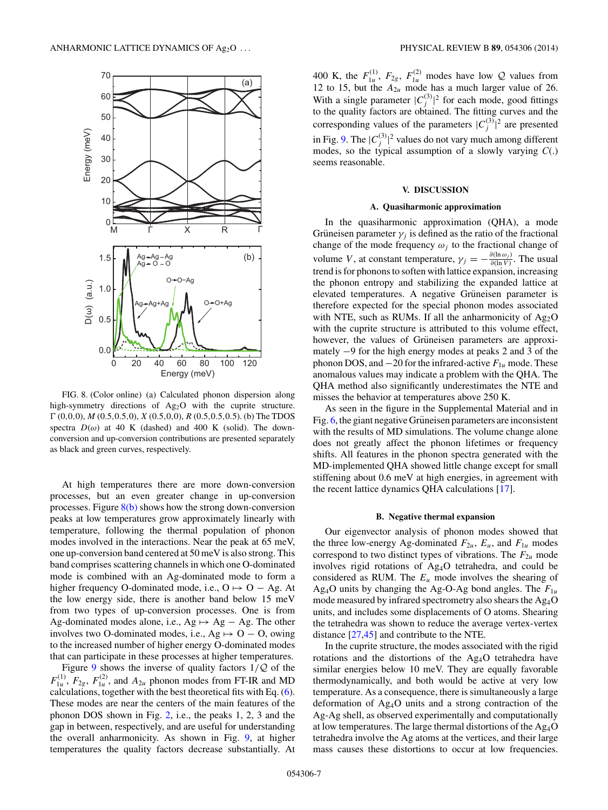<span id="page-6-0"></span>

FIG. 8. (Color online) (a) Calculated phonon dispersion along high-symmetry directions of Ag<sub>2</sub>O with the cuprite structure. *-* (0*,*0*,*0), *M* (0*.*5*,*0*.*5*,*0), *X* (0*.*5*,*0*,*0), *R* (0*.*5*,*0*.*5*,*0*.*5). (b) The TDOS spectra  $D(\omega)$  at 40 K (dashed) and 400 K (solid). The downconversion and up-conversion contributions are presented separately as black and green curves, respectively.

At high temperatures there are more down-conversion processes, but an even greater change in up-conversion processes. Figure  $8(b)$  shows how the strong down-conversion peaks at low temperatures grow approximately linearly with temperature, following the thermal population of phonon modes involved in the interactions. Near the peak at 65 meV, one up-conversion band centered at 50 meV is also strong. This band comprises scattering channels in which one O-dominated mode is combined with an Ag-dominated mode to form a higher frequency O-dominated mode, i.e.,  $O \mapsto O - Ag$ . At the low energy side, there is another band below 15 meV from two types of up-conversion processes. One is from Ag-dominated modes alone, i.e., Ag  $\mapsto$  Ag – Ag. The other involves two O-dominated modes, i.e., Ag  $\mapsto$  O – O, owing to the increased number of higher energy O-dominated modes that can participate in these processes at higher temperatures.

Figure [9](#page-7-0) shows the inverse of quality factors 1*/*Q of the  $F_{1u}^{(1)}$ ,  $F_{2g}$ ,  $F_{1u}^{(2)}$ , and  $A_{2u}$  phonon modes from FT-IR and MD calculations, together with the best theoretical fits with Eq. [\(6\)](#page-5-0). These modes are near the centers of the main features of the phonon DOS shown in Fig. [2,](#page-2-0) i.e., the peaks 1, 2, 3 and the gap in between, respectively, and are useful for understanding the overall anharmonicity. As shown in Fig. [9,](#page-7-0) at higher temperatures the quality factors decrease substantially. At

400 K, the  $F_{1u}^{(1)}$ ,  $F_{2g}$ ,  $F_{1u}^{(2)}$  modes have low Q values from 12 to 15, but the  $A_{2u}$  mode has a much larger value of 26. With a single parameter  $|C_j^{(3)}|^2$  for each mode, good fittings to the quality factors are obtained. The fitting curves and the corresponding values of the parameters  $|C_j^{(3)}|^2$  are presented in Fig. [9.](#page-7-0) The  $|C_j^{(3)}|^2$  values do not vary much among different modes, so the typical assumption of a slowly varying *C*(.) seems reasonable.

## **V. DISCUSSION**

### **A. Quasiharmonic approximation**

In the quasiharmonic approximation (QHA), a mode Grüneisen parameter  $\gamma_i$  is defined as the ratio of the fractional change of the mode frequency  $\omega_i$  to the fractional change of volume *V*, at constant temperature,  $\gamma_j = -\frac{\partial(\ln \omega_j)}{\partial(\ln V)}$ . The usual trend is for phonons to soften with lattice expansion, increasing the phonon entropy and stabilizing the expanded lattice at elevated temperatures. A negative Grüneisen parameter is therefore expected for the special phonon modes associated with NTE, such as RUMs. If all the anharmonicity of  $Ag_2O$ with the cuprite structure is attributed to this volume effect, however, the values of Grüneisen parameters are approximately −9 for the high energy modes at peaks 2 and 3 of the phonon DOS, and  $-20$  for the infrared-active  $F_{1u}$  mode. These anomalous values may indicate a problem with the QHA. The QHA method also significantly underestimates the NTE and misses the behavior at temperatures above 250 K.

As seen in the figure in the Supplemental Material and in Fig.  $6$ , the giant negative Grüneisen parameters are inconsistent with the results of MD simulations. The volume change alone does not greatly affect the phonon lifetimes or frequency shifts. All features in the phonon spectra generated with the MD-implemented QHA showed little change except for small stiffening about 0.6 meV at high energies, in agreement with the recent lattice dynamics QHA calculations [\[17\]](#page-8-0).

#### **B. Negative thermal expansion**

Our eigenvector analysis of phonon modes showed that the three low-energy Ag-dominated  $F_{2u}$ ,  $E_u$ , and  $F_{1u}$  modes correspond to two distinct types of vibrations. The  $F_{2u}$  mode involves rigid rotations of Ag4O tetrahedra, and could be considered as RUM. The  $E_u$  mode involves the shearing of Ag<sub>4</sub>O units by changing the Ag-O-Ag bond angles. The  $F_{1u}$ mode measured by infrared spectrometry also shears the Ag4O units, and includes some displacements of O atoms. Shearing the tetrahedra was shown to reduce the average vertex-vertex distance [\[27,45\]](#page-9-0) and contribute to the NTE.

In the cuprite structure, the modes associated with the rigid rotations and the distortions of the Ag4O tetrahedra have similar energies below 10 meV. They are equally favorable thermodynamically, and both would be active at very low temperature. As a consequence, there is simultaneously a large deformation of Ag4O units and a strong contraction of the Ag-Ag shell, as observed experimentally and computationally at low temperatures. The large thermal distortions of the  $Ag_4O$ tetrahedra involve the Ag atoms at the vertices, and their large mass causes these distortions to occur at low frequencies.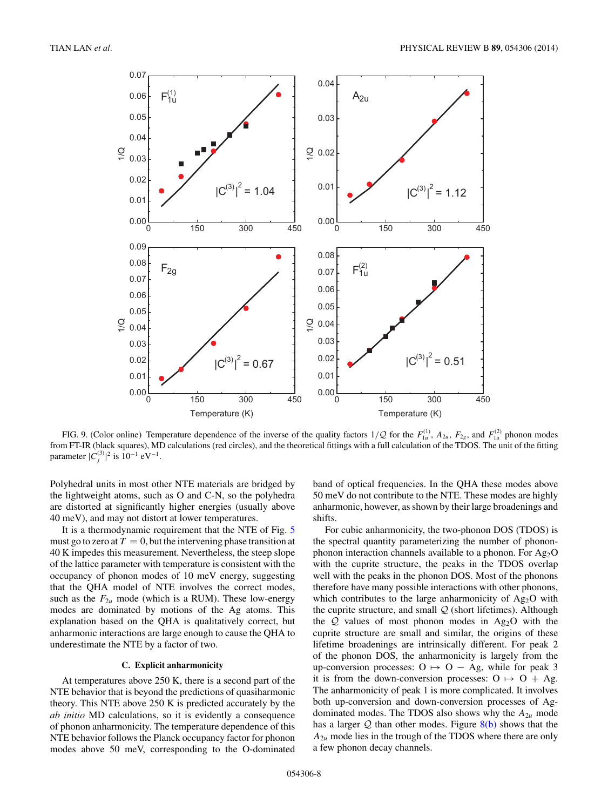<span id="page-7-0"></span>

FIG. 9. (Color online) Temperature dependence of the inverse of the quality factors  $1/Q$  for the  $F_{1u}^{(1)}$ ,  $A_{2u}$ ,  $F_{2g}$ , and  $F_{1u}^{(2)}$  phonon modes from FT-IR (black squares), MD calculations (red circles), and the theoretical fittings with a full calculation of the TDOS. The unit of the fitting parameter  $|C_j^{(3)}|^2$  is  $10^{-1}$  eV<sup>-1</sup>.

Polyhedral units in most other NTE materials are bridged by the lightweight atoms, such as O and C-N, so the polyhedra are distorted at significantly higher energies (usually above 40 meV), and may not distort at lower temperatures.

It is a thermodynamic requirement that the NTE of Fig. [5](#page-4-0) must go to zero at  $T = 0$ , but the intervening phase transition at 40 K impedes this measurement. Nevertheless, the steep slope of the lattice parameter with temperature is consistent with the occupancy of phonon modes of 10 meV energy, suggesting that the QHA model of NTE involves the correct modes, such as the  $F_{2u}$  mode (which is a RUM). These low-energy modes are dominated by motions of the Ag atoms. This explanation based on the QHA is qualitatively correct, but anharmonic interactions are large enough to cause the QHA to underestimate the NTE by a factor of two.

## **C. Explicit anharmonicity**

At temperatures above 250 K, there is a second part of the NTE behavior that is beyond the predictions of quasiharmonic theory. This NTE above 250 K is predicted accurately by the *ab initio* MD calculations, so it is evidently a consequence of phonon anharmonicity. The temperature dependence of this NTE behavior follows the Planck occupancy factor for phonon modes above 50 meV, corresponding to the O-dominated

band of optical frequencies. In the QHA these modes above 50 meV do not contribute to the NTE. These modes are highly anharmonic, however, as shown by their large broadenings and shifts.

For cubic anharmonicity, the two-phonon DOS (TDOS) is the spectral quantity parameterizing the number of phononphonon interaction channels available to a phonon. For  $Ag<sub>2</sub>O$ with the cuprite structure, the peaks in the TDOS overlap well with the peaks in the phonon DOS. Most of the phonons therefore have many possible interactions with other phonons, which contributes to the large anharmonicity of  $Ag<sub>2</sub>O$  with the cuprite structure, and small  $Q$  (short lifetimes). Although the  $Q$  values of most phonon modes in Ag<sub>2</sub>O with the cuprite structure are small and similar, the origins of these lifetime broadenings are intrinsically different. For peak 2 of the phonon DOS, the anharmonicity is largely from the up-conversion processes:  $O \mapsto O - Ag$ , while for peak 3 it is from the down-conversion processes:  $O \mapsto O + Ag$ . The anharmonicity of peak 1 is more complicated. It involves both up-conversion and down-conversion processes of Agdominated modes. The TDOS also shows why the  $A_{2u}$  mode has a larger  $Q$  than other modes. Figure  $8(b)$  shows that the  $A_{2u}$  mode lies in the trough of the TDOS where there are only a few phonon decay channels.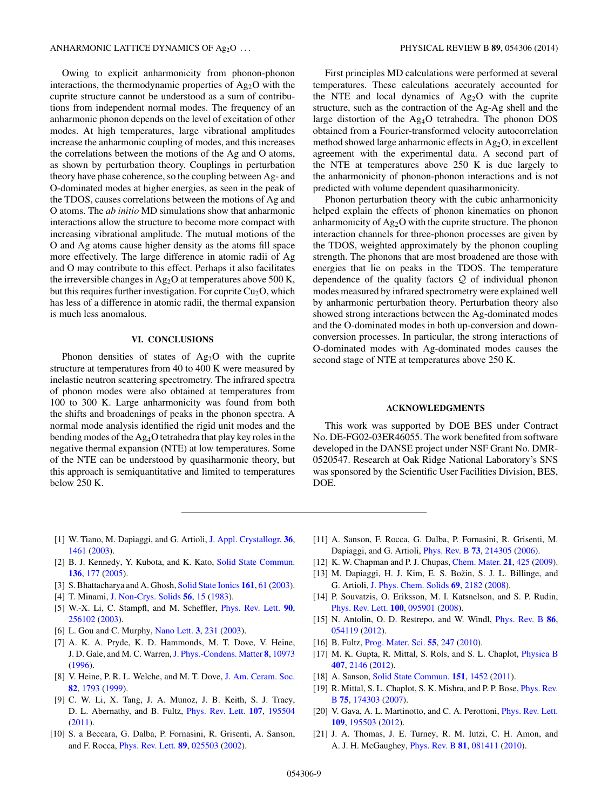<span id="page-8-0"></span>Owing to explicit anharmonicity from phonon-phonon interactions, the thermodynamic properties of  $Ag<sub>2</sub>O$  with the cuprite structure cannot be understood as a sum of contributions from independent normal modes. The frequency of an anharmonic phonon depends on the level of excitation of other modes. At high temperatures, large vibrational amplitudes increase the anharmonic coupling of modes, and this increases the correlations between the motions of the Ag and O atoms, as shown by perturbation theory. Couplings in perturbation theory have phase coherence, so the coupling between Ag- and O-dominated modes at higher energies, as seen in the peak of the TDOS, causes correlations between the motions of Ag and O atoms. The *ab initio* MD simulations show that anharmonic interactions allow the structure to become more compact with increasing vibrational amplitude. The mutual motions of the O and Ag atoms cause higher density as the atoms fill space more effectively. The large difference in atomic radii of Ag and O may contribute to this effect. Perhaps it also facilitates the irreversible changes in  $Ag<sub>2</sub>O$  at temperatures above 500 K, but this requires further investigation. For cuprite  $Cu<sub>2</sub>O$ , which has less of a difference in atomic radii, the thermal expansion is much less anomalous.

## **VI. CONCLUSIONS**

Phonon densities of states of Ag<sub>2</sub>O with the cuprite structure at temperatures from 40 to 400 K were measured by inelastic neutron scattering spectrometry. The infrared spectra of phonon modes were also obtained at temperatures from 100 to 300 K. Large anharmonicity was found from both the shifts and broadenings of peaks in the phonon spectra. A normal mode analysis identified the rigid unit modes and the bending modes of the Ag4O tetrahedra that play key roles in the negative thermal expansion (NTE) at low temperatures. Some of the NTE can be understood by quasiharmonic theory, but this approach is semiquantitative and limited to temperatures below 250 K.

First principles MD calculations were performed at several temperatures. These calculations accurately accounted for the NTE and local dynamics of  $Ag<sub>2</sub>O$  with the cuprite structure, such as the contraction of the Ag-Ag shell and the large distortion of the Ag4O tetrahedra. The phonon DOS obtained from a Fourier-transformed velocity autocorrelation method showed large anharmonic effects in  $Ag_2O$ , in excellent agreement with the experimental data. A second part of the NTE at temperatures above 250 K is due largely to the anharmonicity of phonon-phonon interactions and is not predicted with volume dependent quasiharmonicity.

Phonon perturbation theory with the cubic anharmonicity helped explain the effects of phonon kinematics on phonon anharmonicity of  $Ag_2O$  with the cuprite structure. The phonon interaction channels for three-phonon processes are given by the TDOS, weighted approximately by the phonon coupling strength. The phonons that are most broadened are those with energies that lie on peaks in the TDOS. The temperature dependence of the quality factors  $Q$  of individual phonon modes measured by infrared spectrometry were explained well by anharmonic perturbation theory. Perturbation theory also showed strong interactions between the Ag-dominated modes and the O-dominated modes in both up-conversion and downconversion processes. In particular, the strong interactions of O-dominated modes with Ag-dominated modes causes the second stage of NTE at temperatures above 250 K.

## **ACKNOWLEDGMENTS**

This work was supported by DOE BES under Contract No. DE-FG02-03ER46055. The work benefited from software developed in the DANSE project under NSF Grant No. DMR-0520547. Research at Oak Ridge National Laboratory's SNS was sponsored by the Scientific User Facilities Division, BES, DOE.

- [1] W. Tiano, M. Dapiaggi, and G. Artioli, [J. Appl. Crystallogr.](http://dx.doi.org/10.1107/S0021889803020818) **[36](http://dx.doi.org/10.1107/S0021889803020818)**, [1461](http://dx.doi.org/10.1107/S0021889803020818) [\(2003\)](http://dx.doi.org/10.1107/S0021889803020818).
- [2] B. J. Kennedy, Y. Kubota, and K. Kato, [Solid State Commun.](http://dx.doi.org/10.1016/j.ssc.2005.05.043) **[136](http://dx.doi.org/10.1016/j.ssc.2005.05.043)**, [177](http://dx.doi.org/10.1016/j.ssc.2005.05.043) [\(2005\)](http://dx.doi.org/10.1016/j.ssc.2005.05.043).
- [3] S. Bhattacharya and A. Ghosh, [Solid State Ionics](http://dx.doi.org/10.1016/S0167-2738(03)00277-7) **[161](http://dx.doi.org/10.1016/S0167-2738(03)00277-7)**, [61](http://dx.doi.org/10.1016/S0167-2738(03)00277-7) [\(2003\)](http://dx.doi.org/10.1016/S0167-2738(03)00277-7).
- [4] T. Minami, [J. Non-Crys. Solids](http://dx.doi.org/10.1016/0022-3093(83)90440-4) **[56](http://dx.doi.org/10.1016/0022-3093(83)90440-4)**, [15](http://dx.doi.org/10.1016/0022-3093(83)90440-4) [\(1983\)](http://dx.doi.org/10.1016/0022-3093(83)90440-4).
- [5] W.-X. Li, C. Stampfl, and M. Scheffler, [Phys. Rev. Lett.](http://dx.doi.org/10.1103/PhysRevLett.90.256102) **[90](http://dx.doi.org/10.1103/PhysRevLett.90.256102)**, [256102](http://dx.doi.org/10.1103/PhysRevLett.90.256102) [\(2003\)](http://dx.doi.org/10.1103/PhysRevLett.90.256102).
- [6] L. Gou and C. Murphy, [Nano Lett.](http://dx.doi.org/10.1021/nl0258776) **[3](http://dx.doi.org/10.1021/nl0258776)**, [231](http://dx.doi.org/10.1021/nl0258776) [\(2003\)](http://dx.doi.org/10.1021/nl0258776).
- [7] A. K. A. Pryde, K. D. Hammonds, M. T. Dove, V. Heine, J. D. Gale, and M. C. Warren,[J. Phys.-Condens. Matter](http://dx.doi.org/10.1088/0953-8984/8/50/023) **[8](http://dx.doi.org/10.1088/0953-8984/8/50/023)**, [10973](http://dx.doi.org/10.1088/0953-8984/8/50/023) [\(1996\)](http://dx.doi.org/10.1088/0953-8984/8/50/023).
- [8] V. Heine, P. R. L. Welche, and M. T. Dove, [J. Am. Ceram. Soc.](http://dx.doi.org/10.1111/j.1151-2916.1999.tb02001.x) **[82](http://dx.doi.org/10.1111/j.1151-2916.1999.tb02001.x)**, [1793](http://dx.doi.org/10.1111/j.1151-2916.1999.tb02001.x) [\(1999\)](http://dx.doi.org/10.1111/j.1151-2916.1999.tb02001.x).
- [9] C. W. Li, X. Tang, J. A. Munoz, J. B. Keith, S. J. Tracy, D. L. Abernathy, and B. Fultz, [Phys. Rev. Lett.](http://dx.doi.org/10.1103/PhysRevLett.107.195504) **[107](http://dx.doi.org/10.1103/PhysRevLett.107.195504)**, [195504](http://dx.doi.org/10.1103/PhysRevLett.107.195504) [\(2011\)](http://dx.doi.org/10.1103/PhysRevLett.107.195504).
- [10] S. a Beccara, G. Dalba, P. Fornasini, R. Grisenti, A. Sanson, and F. Rocca, [Phys. Rev. Lett.](http://dx.doi.org/10.1103/PhysRevLett.89.025503) **[89](http://dx.doi.org/10.1103/PhysRevLett.89.025503)**, [025503](http://dx.doi.org/10.1103/PhysRevLett.89.025503) [\(2002\)](http://dx.doi.org/10.1103/PhysRevLett.89.025503).
- [11] A. Sanson, F. Rocca, G. Dalba, P. Fornasini, R. Grisenti, M. Dapiaggi, and G. Artioli, [Phys. Rev. B](http://dx.doi.org/10.1103/PhysRevB.73.214305) **[73](http://dx.doi.org/10.1103/PhysRevB.73.214305)**, [214305](http://dx.doi.org/10.1103/PhysRevB.73.214305) [\(2006\)](http://dx.doi.org/10.1103/PhysRevB.73.214305).
- [12] K. W. Chapman and P. J. Chupas, [Chem. Mater.](http://dx.doi.org/10.1021/cm802900t) **[21](http://dx.doi.org/10.1021/cm802900t)**, [425](http://dx.doi.org/10.1021/cm802900t) [\(2009\)](http://dx.doi.org/10.1021/cm802900t).
- [13] M. Dapiaggi, H. J. Kim, E. S. Božin, S. J. L. Billinge, and G. Artioli, [J. Phys. Chem. Solids](http://dx.doi.org/10.1016/j.jpcs.2008.03.030) **[69](http://dx.doi.org/10.1016/j.jpcs.2008.03.030)**, [2182](http://dx.doi.org/10.1016/j.jpcs.2008.03.030) [\(2008\)](http://dx.doi.org/10.1016/j.jpcs.2008.03.030).
- [14] P. Souvatzis, O. Eriksson, M. I. Katsnelson, and S. P. Rudin, [Phys. Rev. Lett.](http://dx.doi.org/10.1103/PhysRevLett.100.095901) **[100](http://dx.doi.org/10.1103/PhysRevLett.100.095901)**, [095901](http://dx.doi.org/10.1103/PhysRevLett.100.095901) [\(2008\)](http://dx.doi.org/10.1103/PhysRevLett.100.095901).
- [15] N. Antolin, O. D. Restrepo, and W. Windl, [Phys. Rev. B](http://dx.doi.org/10.1103/PhysRevB.86.054119) **[86](http://dx.doi.org/10.1103/PhysRevB.86.054119)**, [054119](http://dx.doi.org/10.1103/PhysRevB.86.054119) [\(2012\)](http://dx.doi.org/10.1103/PhysRevB.86.054119).
- [16] B. Fultz, [Prog. Mater. Sci.](http://dx.doi.org/10.1016/j.pmatsci.2009.05.002) **[55](http://dx.doi.org/10.1016/j.pmatsci.2009.05.002)**, [247](http://dx.doi.org/10.1016/j.pmatsci.2009.05.002) [\(2010\)](http://dx.doi.org/10.1016/j.pmatsci.2009.05.002).
- [17] M. K. Gupta, R. Mittal, S. Rols, and S. L. Chaplot, [Physica B](http://dx.doi.org/10.1016/j.physb.2012.02.023) **[407](http://dx.doi.org/10.1016/j.physb.2012.02.023)**, [2146](http://dx.doi.org/10.1016/j.physb.2012.02.023) [\(2012\)](http://dx.doi.org/10.1016/j.physb.2012.02.023).
- [18] A. Sanson, [Solid State Commun.](http://dx.doi.org/10.1016/j.ssc.2011.07.006) **[151](http://dx.doi.org/10.1016/j.ssc.2011.07.006)**, [1452](http://dx.doi.org/10.1016/j.ssc.2011.07.006) [\(2011\)](http://dx.doi.org/10.1016/j.ssc.2011.07.006).
- [19] [R. Mittal, S. L. Chaplot, S. K. Mishra, and P. P. Bose,](http://dx.doi.org/10.1103/PhysRevB.75.174303) *Phys. Rev.* B **[75](http://dx.doi.org/10.1103/PhysRevB.75.174303)**, [174303](http://dx.doi.org/10.1103/PhysRevB.75.174303) [\(2007\)](http://dx.doi.org/10.1103/PhysRevB.75.174303).
- [20] V. Gava, A. L. Martinotto, and C. A. Perottoni, [Phys. Rev. Lett.](http://dx.doi.org/10.1103/PhysRevLett.109.195503) **[109](http://dx.doi.org/10.1103/PhysRevLett.109.195503)**, [195503](http://dx.doi.org/10.1103/PhysRevLett.109.195503) [\(2012\)](http://dx.doi.org/10.1103/PhysRevLett.109.195503).
- [21] J. A. Thomas, J. E. Turney, R. M. Iutzi, C. H. Amon, and A. J. H. McGaughey, [Phys. Rev. B](http://dx.doi.org/10.1103/PhysRevB.81.081411) **[81](http://dx.doi.org/10.1103/PhysRevB.81.081411)**, [081411](http://dx.doi.org/10.1103/PhysRevB.81.081411) [\(2010\)](http://dx.doi.org/10.1103/PhysRevB.81.081411).